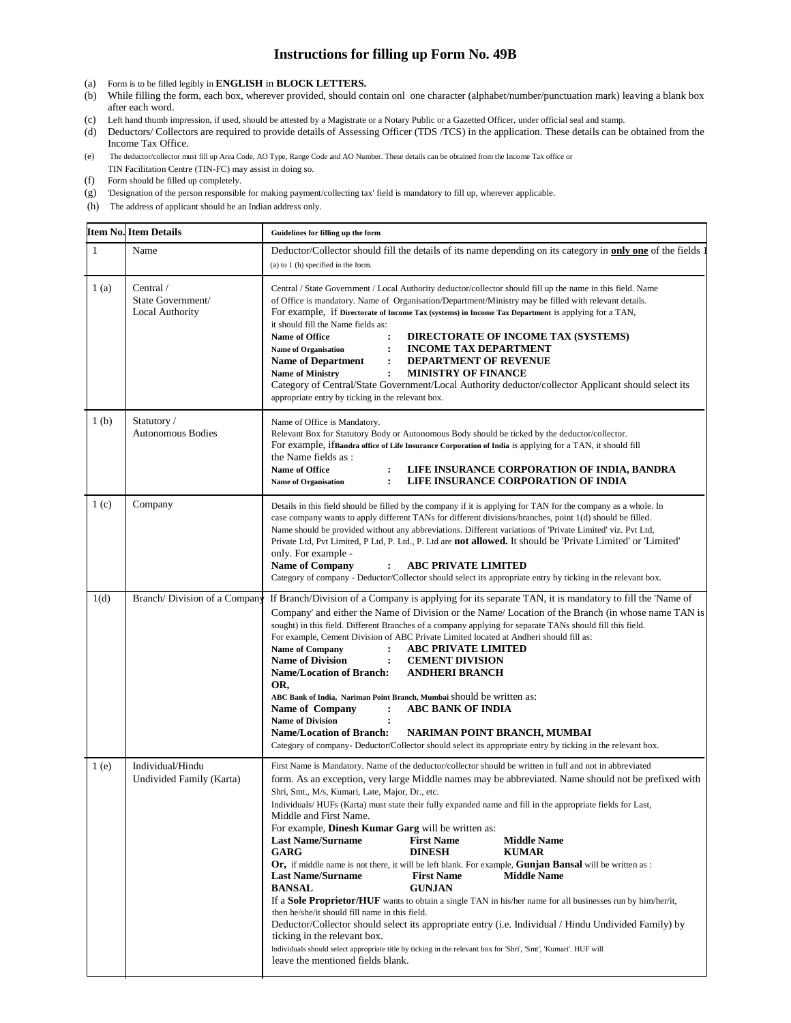## **Instructions for filling up Form No. 49B**

- 
- (a) Form is to be filled legibly in **ENGLISH** in **BLOCK LETTERS.** While filling the form, each box, wherever provided, should contain onl one character (alphabet/number/punctuation mark) leaving a blank box after each word.
- (c) Left hand thumb impression, if used, should be attested by a Magistrate or a Notary Public or a Gazetted Officer, under official seal and stamp.
- (d) Deductors/ Collectors are required to provide details of Assessing Officer (TDS /TCS) in the application. These details can be obtained from the Income Tax Office.
- (e) The deductor/collector must fill up Area Code, AO Type, Range Code and AO Number. These details can be obtained from the Income Tax office or TIN Facilitation Centre (TIN-FC) may assist in doing so.
- (f) Form should be filled up completely.
- (g) 'Designation of the person responsible for making payment/collecting tax' field is mandatory to fill up, wherever applicable.
- (h) The address of applicant should be an Indian address only.

|                  | <b>Item No. Item Details</b>                              | Guidelines for filling up the form                                                                                                                                                                                                                                                                                                                                                                                                                                                                                                                                                                                                                                                                                                                                                                                                                                                                                                                                                                                                                                                                                                                                                                                                                                            |  |  |  |  |  |  |  |
|------------------|-----------------------------------------------------------|-------------------------------------------------------------------------------------------------------------------------------------------------------------------------------------------------------------------------------------------------------------------------------------------------------------------------------------------------------------------------------------------------------------------------------------------------------------------------------------------------------------------------------------------------------------------------------------------------------------------------------------------------------------------------------------------------------------------------------------------------------------------------------------------------------------------------------------------------------------------------------------------------------------------------------------------------------------------------------------------------------------------------------------------------------------------------------------------------------------------------------------------------------------------------------------------------------------------------------------------------------------------------------|--|--|--|--|--|--|--|
| 1                | Name                                                      | Deductor/Collector should fill the details of its name depending on its category in only one of the fields 1<br>$(a)$ to 1 $(h)$ specified in the form.                                                                                                                                                                                                                                                                                                                                                                                                                                                                                                                                                                                                                                                                                                                                                                                                                                                                                                                                                                                                                                                                                                                       |  |  |  |  |  |  |  |
| 1(a)             | Central $\sqrt{}$<br>State Government/<br>Local Authority | Central / State Government / Local Authority deductor/collector should fill up the name in this field. Name<br>of Office is mandatory. Name of Organisation/Department/Ministry may be filled with relevant details.<br>For example, if Directorate of Income Tax (systems) in Income Tax Department is applying for a TAN,<br>it should fill the Name fields as:<br><b>Name of Office</b><br>DIRECTORATE OF INCOME TAX (SYSTEMS)<br><b>INCOME TAX DEPARTMENT</b><br><b>Name of Organisation</b><br>:<br><b>DEPARTMENT OF REVENUE</b><br><b>Name of Department</b><br>$\ddot{\cdot}$<br><b>MINISTRY OF FINANCE</b><br><b>Name of Ministry</b><br>$\ddot{\cdot}$<br>Category of Central/State Government/Local Authority deductor/collector Applicant should select its<br>appropriate entry by ticking in the relevant box.                                                                                                                                                                                                                                                                                                                                                                                                                                                   |  |  |  |  |  |  |  |
| 1 <sub>(b)</sub> | Statutory /<br><b>Autonomous Bodies</b>                   | Name of Office is Mandatory.<br>Relevant Box for Statutory Body or Autonomous Body should be ticked by the deductor/collector.<br>For example, if Bandra office of Life Insurance Corporation of India is applying for a TAN, it should fill<br>the Name fields as :<br>Name of Office<br>LIFE INSURANCE CORPORATION OF INDIA, BANDRA<br>LIFE INSURANCE CORPORATION OF INDIA<br><b>Name of Organisation</b><br>$\ddot{\cdot}$                                                                                                                                                                                                                                                                                                                                                                                                                                                                                                                                                                                                                                                                                                                                                                                                                                                 |  |  |  |  |  |  |  |
| 1(c)             | Company                                                   | Details in this field should be filled by the company if it is applying for TAN for the company as a whole. In<br>case company wants to apply different TANs for different divisions/branches, point 1(d) should be filled.<br>Name should be provided without any abbreviations. Different variations of 'Private Limited' viz. Pvt Ltd,<br>Private Ltd, Pvt Limited, P Ltd, P. Ltd., P. Ltd are <b>not allowed.</b> It should be 'Private Limited' or 'Limited'<br>only. For example -<br><b>Name of Company</b><br><b>ABC PRIVATE LIMITED</b><br>$\ddot{\cdot}$<br>Category of company - Deductor/Collector should select its appropriate entry by ticking in the relevant box.                                                                                                                                                                                                                                                                                                                                                                                                                                                                                                                                                                                            |  |  |  |  |  |  |  |
| 1(d)             | Branch/Division of a Company                              | If Branch/Division of a Company is applying for its separate TAN, it is mandatory to fill the 'Name of<br>Company' and either the Name of Division or the Name/ Location of the Branch (in whose name TAN is<br>sought) in this field. Different Branches of a company applying for separate TANs should fill this field.<br>For example, Cement Division of ABC Private Limited located at Andheri should fill as:<br><b>Name of Company</b><br><b>ABC PRIVATE LIMITED</b><br>$\ddot{\cdot}$<br><b>Name of Division</b><br><b>CEMENT DIVISION</b><br>$\ddot{\cdot}$<br><b>Name/Location of Branch:</b><br><b>ANDHERI BRANCH</b><br>OR,<br>ABC Bank of India, Nariman Point Branch, Mumbai should be written as:<br>Name of Company<br><b>ABC BANK OF INDIA</b><br>:<br><b>Name of Division</b><br>$\ddot{\cdot}$<br><b>Name/Location of Branch:</b><br>NARIMAN POINT BRANCH, MUMBAI<br>Category of company-Deductor/Collector should select its appropriate entry by ticking in the relevant box.                                                                                                                                                                                                                                                                            |  |  |  |  |  |  |  |
| 1(e)             | Individual/Hindu<br>Undivided Family (Karta)              | First Name is Mandatory. Name of the deductor/collector should be written in full and not in abbreviated<br>form. As an exception, very large Middle names may be abbreviated. Name should not be prefixed with<br>Shri, Smt., M/s, Kumari, Late, Major, Dr., etc.<br>Individuals/HUFs (Karta) must state their fully expanded name and fill in the appropriate fields for Last,<br>Middle and First Name.<br>For example, Dinesh Kumar Garg will be written as:<br><b>Last Name/Surname</b><br><b>First Name</b><br><b>Middle Name</b><br>GARG<br><b>DINESH</b><br><b>KUMAR</b><br>Or, if middle name is not there, it will be left blank. For example, Gunjan Bansal will be written as :<br><b>Last Name/Surname</b><br><b>First Name</b><br><b>Middle Name</b><br><b>BANSAL</b><br><b>GUNJAN</b><br>If a <b>Sole Proprietor/HUF</b> wants to obtain a single TAN in his/her name for all businesses run by him/her/it,<br>then he/she/it should fill name in this field.<br>Deductor/Collector should select its appropriate entry (i.e. Individual / Hindu Undivided Family) by<br>ticking in the relevant box.<br>Individuals should select appropriate title by ticking in the relevant box for 'Shri', 'Smt', 'Kumari'. HUF will<br>leave the mentioned fields blank. |  |  |  |  |  |  |  |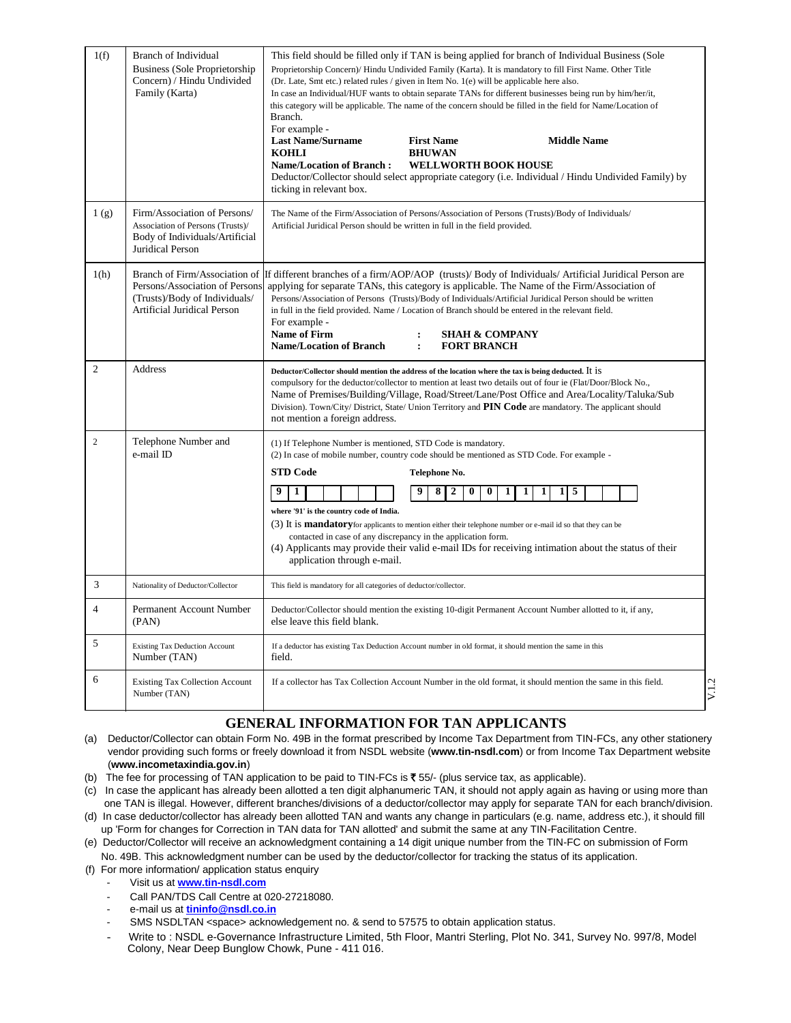| 1(f)           | Branch of Individual<br>Business (Sole Proprietorship)<br>Concern) / Hindu Undivided<br>Family (Karta)                 | This field should be filled only if TAN is being applied for branch of Individual Business (Sole<br>Proprietorship Concern)/ Hindu Undivided Family (Karta). It is mandatory to fill First Name. Other Title<br>(Dr. Late, Smt etc.) related rules / given in Item No. 1(e) will be applicable here also.<br>In case an Individual/HUF wants to obtain separate TANs for different businesses being run by him/her/it,<br>this category will be applicable. The name of the concern should be filled in the field for Name/Location of<br>Branch.<br>For example -<br><b>Last Name/Surname</b><br><b>First Name</b><br><b>Middle Name</b><br><b>KOHLI</b><br><b>BHUWAN</b><br><b>Name/Location of Branch:</b><br><b>WELLWORTH BOOK HOUSE</b><br>Deductor/Collector should select appropriate category (i.e. Individual / Hindu Undivided Family) by<br>ticking in relevant box. |
|----------------|------------------------------------------------------------------------------------------------------------------------|---------------------------------------------------------------------------------------------------------------------------------------------------------------------------------------------------------------------------------------------------------------------------------------------------------------------------------------------------------------------------------------------------------------------------------------------------------------------------------------------------------------------------------------------------------------------------------------------------------------------------------------------------------------------------------------------------------------------------------------------------------------------------------------------------------------------------------------------------------------------------------|
| 1(g)           | Firm/Association of Persons/<br>Association of Persons (Trusts)/<br>Body of Individuals/Artificial<br>Juridical Person | The Name of the Firm/Association of Persons/Association of Persons (Trusts)/Body of Individuals/<br>Artificial Juridical Person should be written in full in the field provided.                                                                                                                                                                                                                                                                                                                                                                                                                                                                                                                                                                                                                                                                                                |
| 1(h)           | Persons/Association of Persons<br>(Trusts)/Body of Individuals/<br>Artificial Juridical Person                         | Branch of Firm/Association of Iff different branches of a firm/AOP/AOP (trusts)/Body of Individuals/Artificial Juridical Person are<br>applying for separate TANs, this category is applicable. The Name of the Firm/Association of<br>Persons/Association of Persons (Trusts)/Body of Individuals/Artificial Juridical Person should be written<br>in full in the field provided. Name / Location of Branch should be entered in the relevant field.<br>For example -<br>Name of Firm<br><b>SHAH &amp; COMPANY</b><br><b>Name/Location of Branch</b><br>$\cdot$<br><b>FORT BRANCH</b>                                                                                                                                                                                                                                                                                          |
| $\overline{2}$ | Address                                                                                                                | Deductor/Collector should mention the address of the location where the tax is being deducted. It is<br>compulsory for the deductor/collector to mention at least two details out of four ie (Flat/Door/Block No.,<br>Name of Premises/Building/Village, Road/Street/Lane/Post Office and Area/Locality/Taluka/Sub<br>Division). Town/City/District, State/Union Territory and <b>PIN Code</b> are mandatory. The applicant should<br>not mention a foreign address.                                                                                                                                                                                                                                                                                                                                                                                                            |
| $\overline{c}$ | Telephone Number and<br>e-mail ID                                                                                      | (1) If Telephone Number is mentioned, STD Code is mandatory.<br>(2) In case of mobile number, country code should be mentioned as STD Code. For example -<br><b>STD Code</b><br>Telephone No.<br>9<br>0<br>-5<br>1<br>2<br>0<br>1<br>1<br>1<br>where '91' is the country code of India.<br>(3) It is <b>mandatory</b> for applicants to mention either their telephone number or e-mail id so that they can be<br>contacted in case of any discrepancy in the application form.<br>(4) Applicants may provide their valid e-mail IDs for receiving intimation about the status of their<br>application through e-mail.                                                                                                                                                                                                                                                          |
| 3              | Nationality of Deductor/Collector                                                                                      | This field is mandatory for all categories of deductor/collector.                                                                                                                                                                                                                                                                                                                                                                                                                                                                                                                                                                                                                                                                                                                                                                                                               |
| $\overline{4}$ | Permanent Account Number<br>(PAN)                                                                                      | Deductor/Collector should mention the existing 10-digit Permanent Account Number allotted to it, if any,<br>else leave this field blank.                                                                                                                                                                                                                                                                                                                                                                                                                                                                                                                                                                                                                                                                                                                                        |
| 5              | <b>Existing Tax Deduction Account</b><br>Number (TAN)                                                                  | If a deductor has existing Tax Deduction Account number in old format, it should mention the same in this<br>field.                                                                                                                                                                                                                                                                                                                                                                                                                                                                                                                                                                                                                                                                                                                                                             |
| 6              | <b>Existing Tax Collection Account</b><br>Number (TAN)                                                                 | If a collector has Tax Collection Account Number in the old format, it should mention the same in this field.<br>V1                                                                                                                                                                                                                                                                                                                                                                                                                                                                                                                                                                                                                                                                                                                                                             |

# **GENERAL INFORMATION FOR TAN APPLICANTS**

- (a) Deductor/Collector can obtain Form No. 49B in the format prescribed by Income Tax Department from TIN-FCs, any other stationery vendor providing such forms or freely download it from NSDL website (**www.tin-nsdl.com**) or from Income Tax Department website (**www.incometaxindia.gov.in**)
- (b) The fee for processing of TAN application to be paid to TIN-FCs is  $\xi$  55/- (plus service tax, as applicable).
- (c) In case the applicant has already been allotted a ten digit alphanumeric TAN, it should not apply again as having or using more than one TAN is illegal. However, different branches/divisions of a deductor/collector may apply for separate TAN for each branch/division.
- (d) In case deductor/collector has already been allotted TAN and wants any change in particulars (e.g. name, address etc.), it should fill up 'Form for changes for Correction in TAN data for TAN allotted' and submit the same at any TIN-Facilitation Centre.
- (e) Deductor/Collector will receive an acknowledgment containing a 14 digit unique number from the TIN-FC on submission of Form No. 49B. This acknowledgment number can be used by the deductor/collector for tracking the status of its application.
- (f) For more information/ application status enquiry
	- Visit us at **[www.tin-nsdl.com](http://www.tin-nsdl.com/)**
	- Call PAN/TDS Call Centre at 020-27218080.
	- e-mail us at **[tininfo@nsdl.co.in](mailto:tininfo@nsdl.co.in)**
	- SMS NSDLTAN <space> acknowledgement no. & send to 57575 to obtain application status.
	- Write to : NSDL e-Governance Infrastructure Limited, 5th Floor, Mantri Sterling, Plot No. 341, Survey No. 997/8, Model Colony, Near Deep Bunglow Chowk, Pune - 411 016.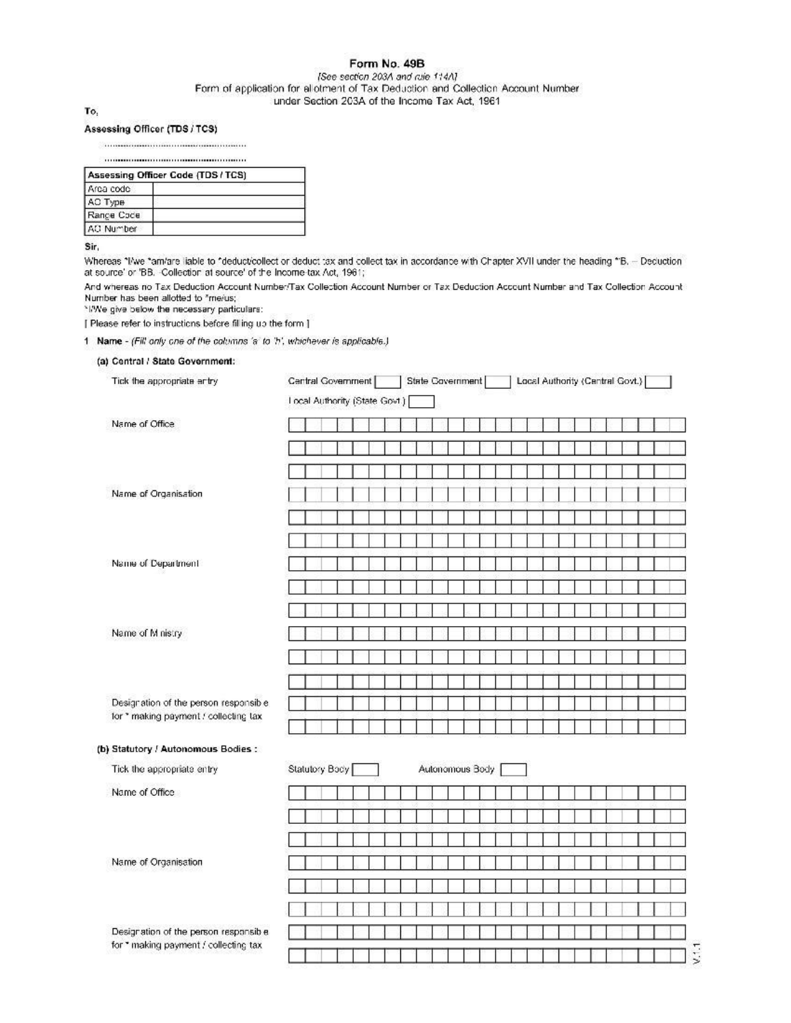### Form No. 49B

#### [See section 203A and rule 1:14A] Form of application for allotment of Tax Deduction and Collection Account Number under Section 203A of the Income Tax Act, 1961

To,

#### Assessing Officer (TDS / TCS)

| Assessing Officer Code (TDS / TCS) |  |  |  |  |  |  |  |  |  |
|------------------------------------|--|--|--|--|--|--|--|--|--|
| Area code                          |  |  |  |  |  |  |  |  |  |
| АО Туре                            |  |  |  |  |  |  |  |  |  |
| Range Code                         |  |  |  |  |  |  |  |  |  |
| AO Number                          |  |  |  |  |  |  |  |  |  |

Sir,

Whereas "I/we "am/are liable to "deduct/collect or deduct tax and collect tax in accordance with Chapter XVII under the heading "B. - Deduction at source' or 'BB. -Collection at source' of the Income-tax Act, 1961;

And whereas no Tax Deduction Account Number/Tax Collection Account Number or Tax Deduction Account Number and Tax Collection Account Number has been allotted to "me/us;

\*I/We give below the necessary particulars:

[ Please refer to instructions before filling up the form ]

1 Name - (Fill only one of the columns 'a' to 'h', whichever is applicable.)

(a) Central / State Government:

|                                                                                | Local Authority (State Govt.)     |
|--------------------------------------------------------------------------------|-----------------------------------|
| Name of Office                                                                 |                                   |
|                                                                                |                                   |
|                                                                                |                                   |
| Name of Organisation                                                           |                                   |
|                                                                                |                                   |
|                                                                                |                                   |
| Name of Department                                                             |                                   |
|                                                                                |                                   |
|                                                                                |                                   |
| Name of Ministry                                                               |                                   |
|                                                                                |                                   |
|                                                                                |                                   |
| Designation of the person responsible<br>for * making payment / collecting tax |                                   |
| (b) Statutory / Autonomous Bodies :                                            |                                   |
| Tick the appropriate entry                                                     | Statutory Body<br>Autonomous Body |
| Name of Office                                                                 |                                   |
|                                                                                |                                   |
|                                                                                |                                   |
| Name of Organisation                                                           |                                   |
|                                                                                |                                   |
|                                                                                |                                   |
| Designation of the person responsible                                          |                                   |
| for * making payment / collecting tax                                          | V.1.1                             |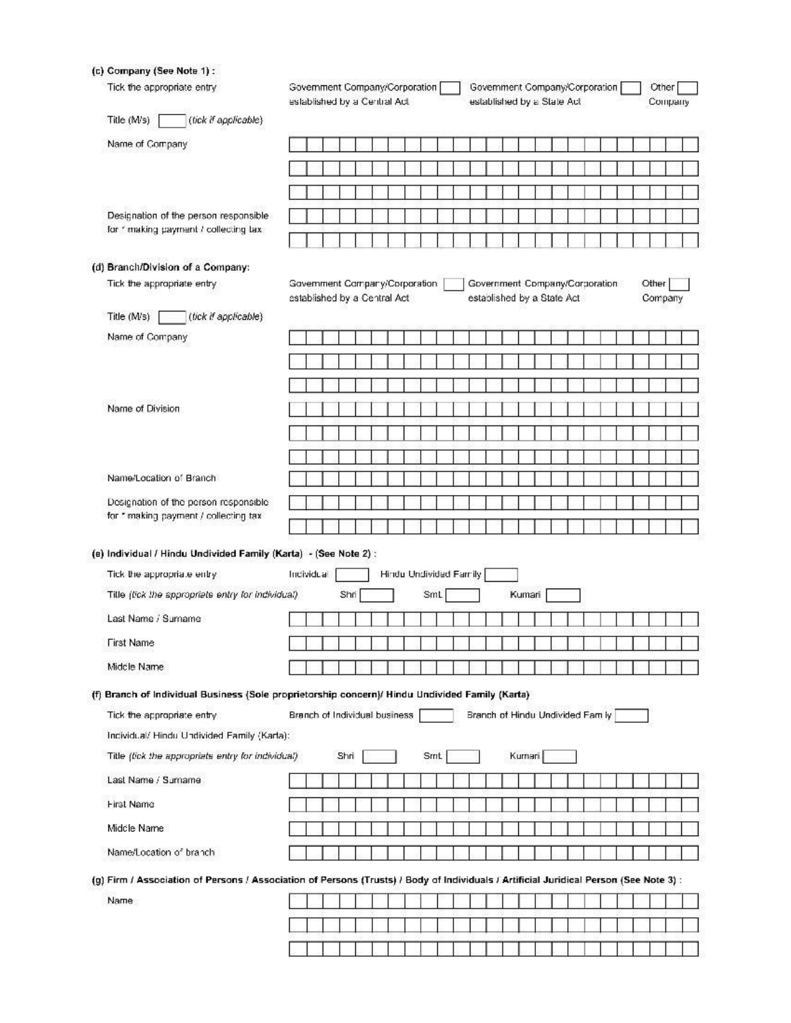(c) Company (See Note 1) :

| Tick the appropriate entry                                                                                                             | Government Company/Corporation<br>Government Company/Corporation<br>established by a Central Act<br>established by a State Act |            |  |      |                               |  |                        |  |              |  |  |  |                                  |  | Other<br>Company |  |                  |  |  |  |  |  |
|----------------------------------------------------------------------------------------------------------------------------------------|--------------------------------------------------------------------------------------------------------------------------------|------------|--|------|-------------------------------|--|------------------------|--|--------------|--|--|--|----------------------------------|--|------------------|--|------------------|--|--|--|--|--|
| Title (M/s)<br>(tick if applicable)                                                                                                    |                                                                                                                                |            |  |      |                               |  |                        |  |              |  |  |  |                                  |  |                  |  |                  |  |  |  |  |  |
| Name of Company                                                                                                                        |                                                                                                                                |            |  |      |                               |  |                        |  |              |  |  |  |                                  |  |                  |  |                  |  |  |  |  |  |
|                                                                                                                                        |                                                                                                                                |            |  |      |                               |  |                        |  |              |  |  |  |                                  |  |                  |  |                  |  |  |  |  |  |
|                                                                                                                                        |                                                                                                                                |            |  |      |                               |  |                        |  |              |  |  |  |                                  |  |                  |  |                  |  |  |  |  |  |
| Designation of the person responsible                                                                                                  |                                                                                                                                |            |  |      |                               |  |                        |  |              |  |  |  |                                  |  |                  |  |                  |  |  |  |  |  |
| for " making payment / collecting tax                                                                                                  |                                                                                                                                |            |  |      |                               |  |                        |  |              |  |  |  |                                  |  |                  |  |                  |  |  |  |  |  |
|                                                                                                                                        |                                                                                                                                |            |  |      |                               |  |                        |  |              |  |  |  |                                  |  |                  |  |                  |  |  |  |  |  |
| (d) Branch/Division of a Company:<br>Tick the appropriate entry                                                                        |                                                                                                                                |            |  |      |                               |  |                        |  |              |  |  |  |                                  |  |                  |  |                  |  |  |  |  |  |
|                                                                                                                                        | Government Company/Corporation<br>Government Company/Corporation<br>established by a Central Act<br>established by a State Act |            |  |      |                               |  |                        |  |              |  |  |  |                                  |  |                  |  | Other<br>Company |  |  |  |  |  |
| Title (M/s)<br>(tick if applicable)                                                                                                    |                                                                                                                                |            |  |      |                               |  |                        |  |              |  |  |  |                                  |  |                  |  |                  |  |  |  |  |  |
| Name of Company                                                                                                                        |                                                                                                                                |            |  |      |                               |  |                        |  |              |  |  |  |                                  |  |                  |  |                  |  |  |  |  |  |
|                                                                                                                                        |                                                                                                                                |            |  |      |                               |  |                        |  |              |  |  |  |                                  |  |                  |  |                  |  |  |  |  |  |
|                                                                                                                                        |                                                                                                                                |            |  |      |                               |  |                        |  |              |  |  |  |                                  |  |                  |  |                  |  |  |  |  |  |
| Name of Division                                                                                                                       |                                                                                                                                |            |  |      |                               |  |                        |  |              |  |  |  |                                  |  |                  |  |                  |  |  |  |  |  |
|                                                                                                                                        |                                                                                                                                |            |  |      |                               |  |                        |  |              |  |  |  |                                  |  |                  |  |                  |  |  |  |  |  |
|                                                                                                                                        |                                                                                                                                |            |  |      |                               |  |                        |  |              |  |  |  |                                  |  |                  |  |                  |  |  |  |  |  |
|                                                                                                                                        |                                                                                                                                |            |  |      |                               |  |                        |  |              |  |  |  |                                  |  |                  |  |                  |  |  |  |  |  |
| Name/Location of Branch                                                                                                                |                                                                                                                                |            |  |      |                               |  |                        |  |              |  |  |  |                                  |  |                  |  |                  |  |  |  |  |  |
| Designation of the person responsible<br>for * making payment / collecting tax                                                         |                                                                                                                                |            |  |      |                               |  |                        |  |              |  |  |  |                                  |  |                  |  |                  |  |  |  |  |  |
|                                                                                                                                        |                                                                                                                                |            |  |      |                               |  |                        |  |              |  |  |  |                                  |  |                  |  |                  |  |  |  |  |  |
| (e) Individual / Hindu Undivided Family (Karta) - (See Note 2) :                                                                       |                                                                                                                                |            |  |      |                               |  |                        |  |              |  |  |  |                                  |  |                  |  |                  |  |  |  |  |  |
| Tick the appropriate entry                                                                                                             |                                                                                                                                | Individual |  |      |                               |  | Hindu Undivided Family |  |              |  |  |  |                                  |  |                  |  |                  |  |  |  |  |  |
| Title (tick the sppropriats entry for individual)                                                                                      |                                                                                                                                |            |  | Shri |                               |  |                        |  | SmL          |  |  |  |                                  |  | Kumari           |  |                  |  |  |  |  |  |
|                                                                                                                                        |                                                                                                                                |            |  |      |                               |  |                        |  |              |  |  |  |                                  |  |                  |  |                  |  |  |  |  |  |
| Last Name / Surname                                                                                                                    |                                                                                                                                |            |  |      |                               |  |                        |  |              |  |  |  |                                  |  |                  |  |                  |  |  |  |  |  |
| <b>First Name</b>                                                                                                                      |                                                                                                                                |            |  |      |                               |  |                        |  |              |  |  |  |                                  |  |                  |  |                  |  |  |  |  |  |
| Middle Name                                                                                                                            |                                                                                                                                |            |  |      |                               |  |                        |  |              |  |  |  |                                  |  |                  |  |                  |  |  |  |  |  |
|                                                                                                                                        |                                                                                                                                |            |  |      |                               |  |                        |  |              |  |  |  |                                  |  |                  |  |                  |  |  |  |  |  |
|                                                                                                                                        |                                                                                                                                |            |  |      |                               |  |                        |  |              |  |  |  |                                  |  |                  |  |                  |  |  |  |  |  |
| Tick the appropriate entry                                                                                                             |                                                                                                                                |            |  |      | Branch of Individual business |  |                        |  |              |  |  |  | Branch of Hindu Undivided Fam ly |  |                  |  |                  |  |  |  |  |  |
| Individual/ Hindu Undivided Family (Karta):                                                                                            |                                                                                                                                |            |  |      |                               |  |                        |  |              |  |  |  |                                  |  |                  |  |                  |  |  |  |  |  |
| Title (fick the appropriate entry for individual)                                                                                      |                                                                                                                                |            |  | Shri |                               |  |                        |  | <b>Srrit</b> |  |  |  |                                  |  | Kurnari.         |  |                  |  |  |  |  |  |
| Last Name / Surname                                                                                                                    |                                                                                                                                |            |  |      |                               |  |                        |  |              |  |  |  |                                  |  |                  |  |                  |  |  |  |  |  |
| <b>First Name</b>                                                                                                                      |                                                                                                                                |            |  |      |                               |  |                        |  |              |  |  |  |                                  |  |                  |  |                  |  |  |  |  |  |
| Middle Name                                                                                                                            |                                                                                                                                |            |  |      |                               |  |                        |  |              |  |  |  |                                  |  |                  |  |                  |  |  |  |  |  |
| (f) Branch of Individual Business (Sole proprietorship concern)/ Hindu Undivided Family (Karta)<br>Name/Location of branch             |                                                                                                                                |            |  |      |                               |  |                        |  |              |  |  |  |                                  |  |                  |  |                  |  |  |  |  |  |
| (g) Firm / Association of Persons / Association of Persons (Trusts) / Body of Individuals / Artificial Juridical Person (See Note 3) : |                                                                                                                                |            |  |      |                               |  |                        |  |              |  |  |  |                                  |  |                  |  |                  |  |  |  |  |  |
| Name                                                                                                                                   |                                                                                                                                |            |  |      |                               |  |                        |  |              |  |  |  |                                  |  |                  |  |                  |  |  |  |  |  |
|                                                                                                                                        |                                                                                                                                |            |  |      |                               |  |                        |  |              |  |  |  |                                  |  |                  |  |                  |  |  |  |  |  |